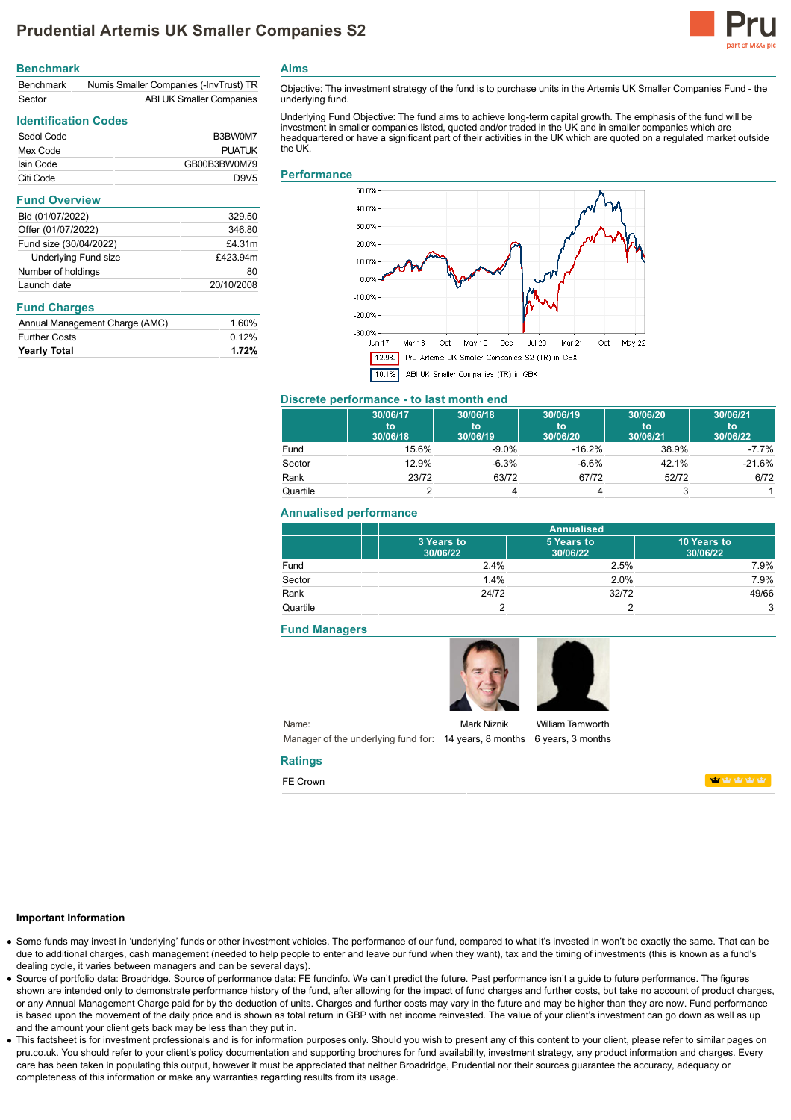

## **Benchmark**

| <b>Benchmark</b> | Numis Smaller Companies (-InvTrust) TR |
|------------------|----------------------------------------|
| Sector           | ABI UK Smaller Companies               |

# **Identification Codes**

| Sedol Code | B3BW0M7           |
|------------|-------------------|
| Mex Code   | PUATUK            |
| Isin Code  | GB00B3BW0M79      |
| Citi Code  | D.9V <sub>5</sub> |

| <b>Fund Overview</b>        |            |
|-----------------------------|------------|
| Bid (01/07/2022)            | 329.50     |
| Offer (01/07/2022)          | 346.80     |
| Fund size (30/04/2022)      | £4.31m     |
| <b>Underlying Fund size</b> | £423.94m   |
| Number of holdings          | 80         |
| Launch date                 | 20/10/2008 |
|                             |            |

## **Fund Charges**

| <b>Yearly Total</b>            | 1.72% |
|--------------------------------|-------|
| <b>Further Costs</b>           | 0.12% |
| Annual Management Charge (AMC) | 1.60% |

**Aims**

Objective: The investment strategy of the fund is to purchase units in the Artemis UK Smaller Companies Fund - the underlying fund.

Underlying Fund Objective: The fund aims to achieve long-term capital growth. The emphasis of the fund will be investment in smaller companies listed, quoted and/or traded in the UK and in smaller companies which are headquartered or have a significant part of their activities in the UK which are quoted on a regulated market outside the UK

#### **Performance**



## **Discrete performance - to last month end**

|          | 30/06/17<br>to<br>30/06/18 | 30/06/18<br>to<br>30/06/19 | 30/06/19<br>to<br>30/06/20 | 30/06/20<br>to<br>30/06/21 | 30/06/21<br>to<br>30/06/22 |
|----------|----------------------------|----------------------------|----------------------------|----------------------------|----------------------------|
| Fund     | 15.6%                      | $-9.0\%$                   | $-16.2%$                   | 38.9%                      | $-7.7\%$                   |
| Sector   | 12.9%                      | $-6.3%$                    | $-6.6\%$                   | 42.1%                      | $-21.6%$                   |
| Rank     | 23/72                      | 63/72                      | 67/72                      | 52/72                      | 6/72                       |
| Quartile |                            |                            |                            |                            |                            |

## **Annualised performance**

|          | <b>Annualised</b>      |                        |                         |
|----------|------------------------|------------------------|-------------------------|
|          | 3 Years to<br>30/06/22 | 5 Years to<br>30/06/22 | 10 Years to<br>30/06/22 |
| Fund     | 2.4%                   | 2.5%                   | 7.9%                    |
| Sector   | 1.4%                   | 2.0%                   | 7.9%                    |
| Rank     | 24/72                  | 32/72                  | 49/66                   |
| Quartile |                        |                        | 3                       |

### **Fund Managers**

**Ratings** FE Crown





Name: Manager of the underlying fund for: 14 years, 8 months 6 years, 3 months Mark Niznik

William Tamworth

**WWWW** 

### **Important Information**

- Some funds may invest in 'underlying' funds or other investment vehicles. The performance of our fund, compared to what it's invested in won't be exactly the same. That can be due to additional charges, cash management (needed to help people to enter and leave our fund when they want), tax and the timing of investments (this is known as a fund's dealing cycle, it varies between managers and can be several days).
- Source of portfolio data: Broadridge. Source of performance data: FE fundinfo. We can't predict the future. Past performance isn't a guide to future performance. The figures shown are intended only to demonstrate performance history of the fund, after allowing for the impact of fund charges and further costs, but take no account of product charges, or any Annual Management Charge paid for by the deduction of units. Charges and further costs may vary in the future and may be higher than they are now. Fund performance is based upon the movement of the daily price and is shown as total return in GBP with net income reinvested. The value of your client's investment can go down as well as up and the amount your client gets back may be less than they put in.
- This factsheet is for investment professionals and is for information purposes only. Should you wish to present any of this content to your client, please refer to similar pages on pru.co.uk. You should refer to your client's policy documentation and supporting brochures for fund availability, investment strategy, any product information and charges. Every care has been taken in populating this output, however it must be appreciated that neither Broadridge, Prudential nor their sources guarantee the accuracy, adequacy or completeness of this information or make any warranties regarding results from its usage.